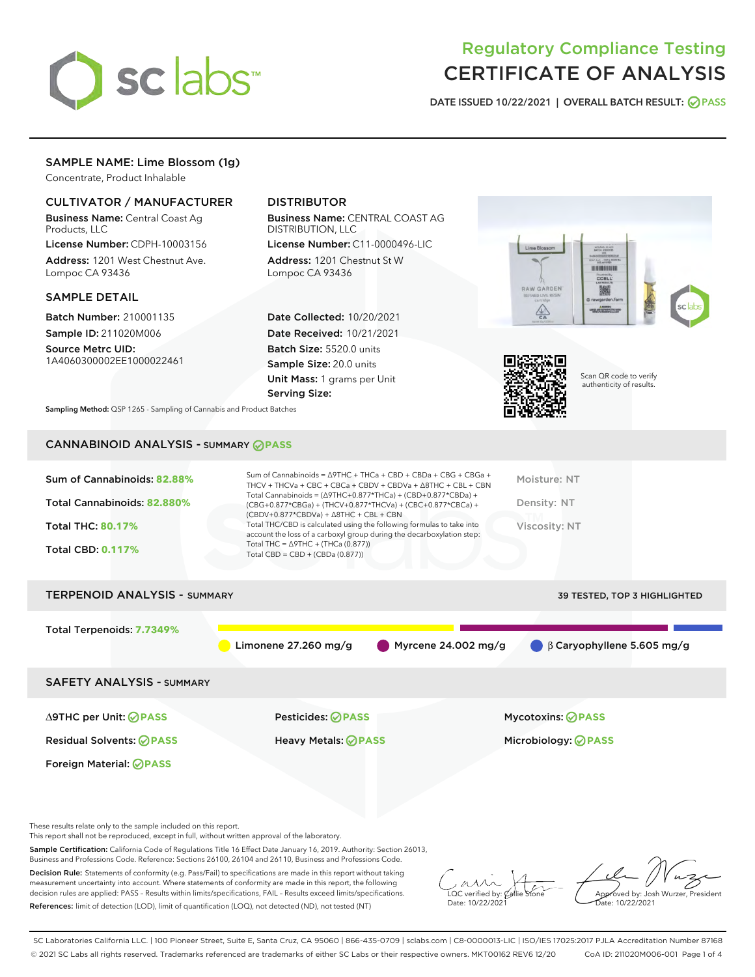

# Regulatory Compliance Testing CERTIFICATE OF ANALYSIS

DATE ISSUED 10/22/2021 | OVERALL BATCH RESULT: @ PASS

## SAMPLE NAME: Lime Blossom (1g)

Concentrate, Product Inhalable

## CULTIVATOR / MANUFACTURER

Business Name: Central Coast Ag Products, LLC

License Number: CDPH-10003156 Address: 1201 West Chestnut Ave. Lompoc CA 93436

## SAMPLE DETAIL

Batch Number: 210001135 Sample ID: 211020M006

Source Metrc UID: 1A4060300002EE1000022461

## DISTRIBUTOR

Business Name: CENTRAL COAST AG DISTRIBUTION, LLC

License Number: C11-0000496-LIC Address: 1201 Chestnut St W Lompoc CA 93436

Date Collected: 10/20/2021 Date Received: 10/21/2021 Batch Size: 5520.0 units Sample Size: 20.0 units Unit Mass: 1 grams per Unit Serving Size:





Scan QR code to verify authenticity of results.

Sampling Method: QSP 1265 - Sampling of Cannabis and Product Batches

## CANNABINOID ANALYSIS - SUMMARY **PASS**

| Sum of Cannabinoids: 82.88%<br>Total Cannabinoids: 82.880%<br><b>Total THC: 80.17%</b><br><b>Total CBD: 0.117%</b> | Sum of Cannabinoids = $\triangle$ 9THC + THCa + CBD + CBDa + CBG + CBGa +<br>THCV + THCVa + CBC + CBCa + CBDV + CBDVa + $\Delta$ 8THC + CBL + CBN<br>Total Cannabinoids = $(\Delta$ 9THC+0.877*THCa) + (CBD+0.877*CBDa) +<br>(CBG+0.877*CBGa) + (THCV+0.877*THCVa) + (CBC+0.877*CBCa) +<br>$(CBDV+0.877*CBDVa) + \Delta 8THC + CBL + CBN$<br>Total THC/CBD is calculated using the following formulas to take into<br>account the loss of a carboxyl group during the decarboxylation step:<br>Total THC = $\triangle$ 9THC + (THCa (0.877))<br>Total CBD = $CBD + (CBDa (0.877))$ | Moisture: NT<br>Density: NT<br>Viscosity: NT              |
|--------------------------------------------------------------------------------------------------------------------|------------------------------------------------------------------------------------------------------------------------------------------------------------------------------------------------------------------------------------------------------------------------------------------------------------------------------------------------------------------------------------------------------------------------------------------------------------------------------------------------------------------------------------------------------------------------------------|-----------------------------------------------------------|
| <b>TERPENOID ANALYSIS - SUMMARY</b>                                                                                |                                                                                                                                                                                                                                                                                                                                                                                                                                                                                                                                                                                    | 39 TESTED, TOP 3 HIGHLIGHTED                              |
| Total Terpenoids: 7.7349%<br><b>SAFETY ANALYSIS - SUMMARY</b>                                                      | Limonene $27.260$ mg/g                                                                                                                                                                                                                                                                                                                                                                                                                                                                                                                                                             | Myrcene $24.002$ mg/g<br>$\beta$ Caryophyllene 5.605 mg/g |
| ∆9THC per Unit: ⊘PASS<br><b>Residual Solvents: ⊘PASS</b><br>Foreign Material: <b>OPASS</b>                         | Pesticides: <b>⊘</b> PASS<br><b>Heavy Metals: ⊘ PASS</b>                                                                                                                                                                                                                                                                                                                                                                                                                                                                                                                           | <b>Mycotoxins: ⊘PASS</b><br>Microbiology: <b>⊘PASS</b>    |

These results relate only to the sample included on this report.

This report shall not be reproduced, except in full, without written approval of the laboratory.

Sample Certification: California Code of Regulations Title 16 Effect Date January 16, 2019. Authority: Section 26013, Business and Professions Code. Reference: Sections 26100, 26104 and 26110, Business and Professions Code.

Decision Rule: Statements of conformity (e.g. Pass/Fail) to specifications are made in this report without taking measurement uncertainty into account. Where statements of conformity are made in this report, the following decision rules are applied: PASS – Results within limits/specifications, FAIL – Results exceed limits/specifications. References: limit of detection (LOD), limit of quantification (LOQ), not detected (ND), not tested (NT)

 $\overline{\text{LOC}}$  verified by:  $\mathscr{C}$ al Date: 10/22/2021

Approved by: Josh Wurzer, President ate: 10/22/2021

SC Laboratories California LLC. | 100 Pioneer Street, Suite E, Santa Cruz, CA 95060 | 866-435-0709 | sclabs.com | C8-0000013-LIC | ISO/IES 17025:2017 PJLA Accreditation Number 87168 © 2021 SC Labs all rights reserved. Trademarks referenced are trademarks of either SC Labs or their respective owners. MKT00162 REV6 12/20 CoA ID: 211020M006-001 Page 1 of 4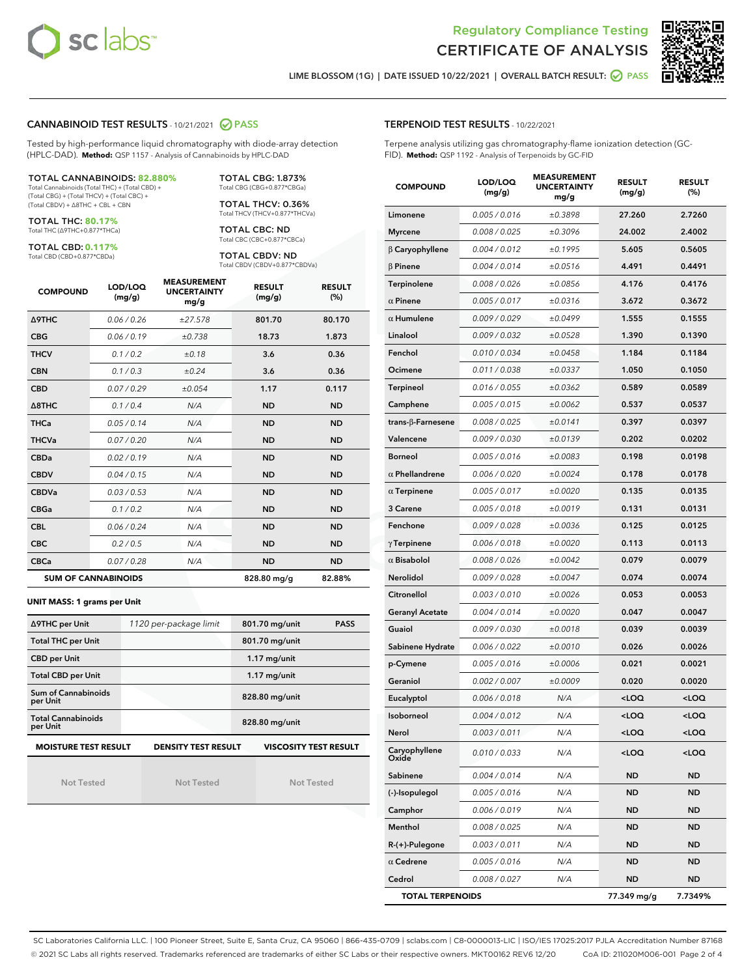



LIME BLOSSOM (1G) | DATE ISSUED 10/22/2021 | OVERALL BATCH RESULT: **○** PASS

## CANNABINOID TEST RESULTS - 10/21/2021 2 PASS

Tested by high-performance liquid chromatography with diode-array detection (HPLC-DAD). **Method:** QSP 1157 - Analysis of Cannabinoids by HPLC-DAD

#### TOTAL CANNABINOIDS: **82.880%**

Total Cannabinoids (Total THC) + (Total CBD) + (Total CBG) + (Total THCV) + (Total CBC) + (Total CBDV) + ∆8THC + CBL + CBN

TOTAL THC: **80.17%** Total THC (∆9THC+0.877\*THCa)

TOTAL CBD: **0.117%**

Total CBD (CBD+0.877\*CBDa)

TOTAL CBG: 1.873% Total CBG (CBG+0.877\*CBGa)

TOTAL THCV: 0.36% Total THCV (THCV+0.877\*THCVa)

TOTAL CBC: ND Total CBC (CBC+0.877\*CBCa)

TOTAL CBDV: ND Total CBDV (CBDV+0.877\*CBDVa)

| <b>COMPOUND</b>  | LOD/LOQ<br>(mg/g)          | <b>MEASUREMENT</b><br><b>UNCERTAINTY</b><br>mg/g | <b>RESULT</b><br>(mg/g) | <b>RESULT</b><br>(%) |
|------------------|----------------------------|--------------------------------------------------|-------------------------|----------------------|
| <b>A9THC</b>     | 0.06 / 0.26                | ±27.578                                          | 801.70                  | 80.170               |
| <b>CBG</b>       | 0.06/0.19                  | ±0.738                                           | 18.73                   | 1.873                |
| <b>THCV</b>      | 0.1/0.2                    | ±0.18                                            | 3.6                     | 0.36                 |
| <b>CBN</b>       | 0.1/0.3                    | ±0.24                                            | 3.6                     | 0.36                 |
| <b>CBD</b>       | 0.07/0.29                  | ±0.054                                           | 1.17                    | 0.117                |
| $\triangle$ 8THC | 0.1/0.4                    | N/A                                              | <b>ND</b>               | <b>ND</b>            |
| <b>THCa</b>      | 0.05/0.14                  | N/A                                              | <b>ND</b>               | <b>ND</b>            |
| <b>THCVa</b>     | 0.07 / 0.20                | N/A                                              | <b>ND</b>               | <b>ND</b>            |
| <b>CBDa</b>      | 0.02/0.19                  | N/A                                              | <b>ND</b>               | <b>ND</b>            |
| <b>CBDV</b>      | 0.04 / 0.15                | N/A                                              | <b>ND</b>               | <b>ND</b>            |
| <b>CBDVa</b>     | 0.03/0.53                  | N/A                                              | <b>ND</b>               | <b>ND</b>            |
| <b>CBGa</b>      | 0.1 / 0.2                  | N/A                                              | <b>ND</b>               | <b>ND</b>            |
| <b>CBL</b>       | 0.06 / 0.24                | N/A                                              | <b>ND</b>               | <b>ND</b>            |
| <b>CBC</b>       | 0.2 / 0.5                  | N/A                                              | <b>ND</b>               | <b>ND</b>            |
| <b>CBCa</b>      | 0.07/0.28                  | N/A                                              | <b>ND</b>               | <b>ND</b>            |
|                  | <b>SUM OF CANNABINOIDS</b> |                                                  | 828.80 mg/g             | 82.88%               |

#### **UNIT MASS: 1 grams per Unit**

| ∆9THC per Unit                        | 1120 per-package limit     | 801.70 mg/unit<br><b>PASS</b> |  |  |
|---------------------------------------|----------------------------|-------------------------------|--|--|
| <b>Total THC per Unit</b>             |                            | 801.70 mg/unit                |  |  |
| <b>CBD per Unit</b>                   |                            | $1.17$ mg/unit                |  |  |
| <b>Total CBD per Unit</b>             |                            | $1.17$ mg/unit                |  |  |
| Sum of Cannabinoids<br>per Unit       |                            | 828.80 mg/unit                |  |  |
| <b>Total Cannabinoids</b><br>per Unit |                            | 828.80 mg/unit                |  |  |
| <b>MOISTURE TEST RESULT</b>           | <b>DENSITY TEST RESULT</b> | <b>VISCOSITY TEST RESULT</b>  |  |  |

Not Tested

Not Tested

Not Tested

#### TERPENOID TEST RESULTS - 10/22/2021

Terpene analysis utilizing gas chromatography-flame ionization detection (GC-FID). **Method:** QSP 1192 - Analysis of Terpenoids by GC-FID

| <b>COMPOUND</b>         | LOD/LOQ<br>(mg/g) | <b>MEASUREMENT</b><br><b>UNCERTAINTY</b><br>mg/g | <b>RESULT</b><br>(mg/g)                         | <b>RESULT</b><br>(%) |
|-------------------------|-------------------|--------------------------------------------------|-------------------------------------------------|----------------------|
| Limonene                | 0.005 / 0.016     | ±0.3898                                          | 27.260                                          | 2.7260               |
| <b>Myrcene</b>          | 0.008 / 0.025     | ±0.3096                                          | 24.002                                          | 2.4002               |
| $\beta$ Caryophyllene   | 0.004 / 0.012     | ±0.1995                                          | 5.605                                           | 0.5605               |
| $\beta$ Pinene          | 0.004 / 0.014     | ±0.0516                                          | 4.491                                           | 0.4491               |
| Terpinolene             | 0.008 / 0.026     | ±0.0856                                          | 4.176                                           | 0.4176               |
| $\alpha$ Pinene         | 0.005 / 0.017     | ±0.0316                                          | 3.672                                           | 0.3672               |
| $\alpha$ Humulene       | 0.009 / 0.029     | ±0.0499                                          | 1.555                                           | 0.1555               |
| Linalool                | 0.009 / 0.032     | ±0.0528                                          | 1.390                                           | 0.1390               |
| Fenchol                 | 0.010 / 0.034     | ±0.0458                                          | 1.184                                           | 0.1184               |
| Ocimene                 | 0.011 / 0.038     | ±0.0337                                          | 1.050                                           | 0.1050               |
| <b>Terpineol</b>        | 0.016 / 0.055     | ±0.0362                                          | 0.589                                           | 0.0589               |
| Camphene                | 0.005 / 0.015     | ±0.0062                                          | 0.537                                           | 0.0537               |
| trans-β-Farnesene       | 0.008 / 0.025     | ±0.0141                                          | 0.397                                           | 0.0397               |
| Valencene               | 0.009 / 0.030     | ±0.0139                                          | 0.202                                           | 0.0202               |
| <b>Borneol</b>          | 0.005 / 0.016     | ±0.0083                                          | 0.198                                           | 0.0198               |
| $\alpha$ Phellandrene   | 0.006 / 0.020     | ±0.0024                                          | 0.178                                           | 0.0178               |
| $\alpha$ Terpinene      | 0.005 / 0.017     | ±0.0020                                          | 0.135                                           | 0.0135               |
| 3 Carene                | 0.005 / 0.018     | ±0.0019                                          | 0.131                                           | 0.0131               |
| Fenchone                | 0.009 / 0.028     | ±0.0036                                          | 0.125                                           | 0.0125               |
| $\gamma$ Terpinene      | 0.006 / 0.018     | ±0.0020                                          | 0.113                                           | 0.0113               |
| $\alpha$ Bisabolol      | 0.008 / 0.026     | ±0.0042                                          | 0.079                                           | 0.0079               |
| <b>Nerolidol</b>        | 0.009 / 0.028     | ±0.0047                                          | 0.074                                           | 0.0074               |
| Citronellol             | 0.003 / 0.010     | ±0.0026                                          | 0.053                                           | 0.0053               |
| <b>Geranyl Acetate</b>  | 0.004 / 0.014     | ±0.0020                                          | 0.047                                           | 0.0047               |
| Guaiol                  | 0.009 / 0.030     | ±0.0018                                          | 0.039                                           | 0.0039               |
| Sabinene Hydrate        | 0.006 / 0.022     | ±0.0010                                          | 0.026                                           | 0.0026               |
| p-Cymene                | 0.005 / 0.016     | ±0.0006                                          | 0.021                                           | 0.0021               |
| Geraniol                | 0.002 / 0.007     | ±0.0009                                          | 0.020                                           | 0.0020               |
| Eucalyptol              | 0.006 / 0.018     | N/A                                              | <loq< th=""><th><loq< th=""></loq<></th></loq<> | <loq< th=""></loq<>  |
| Isoborneol              | 0.004 / 0.012     | N/A                                              | <loq< th=""><th><loq< th=""></loq<></th></loq<> | <loq< th=""></loq<>  |
| Nerol                   | 0.003 / 0.011     | N/A                                              | <loq< th=""><th><loq< th=""></loq<></th></loq<> | <loq< th=""></loq<>  |
| Caryophyllene<br>Oxide  | 0.010 / 0.033     | N/A                                              | <loq< th=""><th><loq< th=""></loq<></th></loq<> | <loq< th=""></loq<>  |
| Sabinene                | 0.004 / 0.014     | N/A                                              | ND                                              | <b>ND</b>            |
| (-)-Isopulegol          | 0.005 / 0.016     | N/A                                              | ND                                              | <b>ND</b>            |
| Camphor                 | 0.006 / 0.019     | N/A                                              | ND                                              | ND                   |
| Menthol                 | 0.008 / 0.025     | N/A                                              | ND                                              | <b>ND</b>            |
| $R-(+)$ -Pulegone       | 0.003 / 0.011     | N/A                                              | ND                                              | <b>ND</b>            |
| $\alpha$ Cedrene        | 0.005 / 0.016     | N/A                                              | ND                                              | ND                   |
| Cedrol                  | 0.008 / 0.027     | N/A                                              | ND                                              | <b>ND</b>            |
| <b>TOTAL TERPENOIDS</b> |                   |                                                  | 77.349 mg/g                                     | 7.7349%              |

SC Laboratories California LLC. | 100 Pioneer Street, Suite E, Santa Cruz, CA 95060 | 866-435-0709 | sclabs.com | C8-0000013-LIC | ISO/IES 17025:2017 PJLA Accreditation Number 87168 © 2021 SC Labs all rights reserved. Trademarks referenced are trademarks of either SC Labs or their respective owners. MKT00162 REV6 12/20 CoA ID: 211020M006-001 Page 2 of 4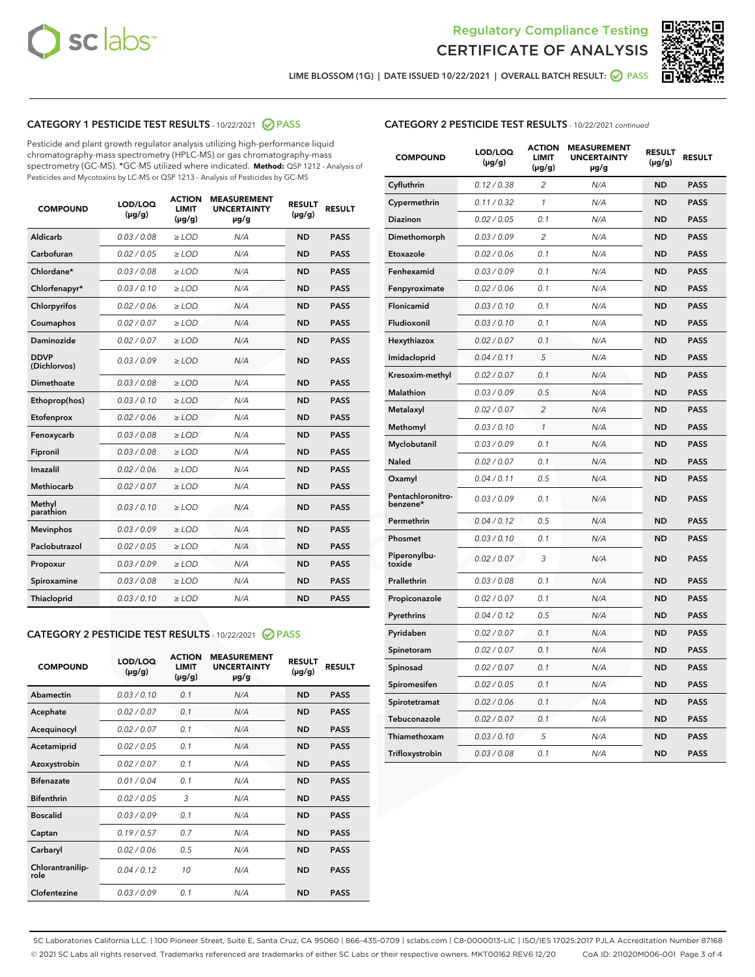



LIME BLOSSOM (1G) | DATE ISSUED 10/22/2021 | OVERALL BATCH RESULT: 2 PASS

## CATEGORY 1 PESTICIDE TEST RESULTS - 10/22/2021 2 PASS

Pesticide and plant growth regulator analysis utilizing high-performance liquid chromatography-mass spectrometry (HPLC-MS) or gas chromatography-mass spectrometry (GC-MS). \*GC-MS utilized where indicated. **Method:** QSP 1212 - Analysis of Pesticides and Mycotoxins by LC-MS or QSP 1213 - Analysis of Pesticides by GC-MS

| 0.03 / 0.08<br><b>ND</b><br><b>PASS</b><br>Aldicarb<br>$\ge$ LOD<br>N/A<br>Carbofuran<br>0.02 / 0.05<br>$\ge$ LOD<br>N/A<br><b>ND</b><br><b>PASS</b><br>Chlordane*<br>0.03 / 0.08<br>$\ge$ LOD<br>N/A<br><b>ND</b><br><b>PASS</b><br>Chlorfenapyr*<br>0.03/0.10<br>$\ge$ LOD<br>N/A<br><b>ND</b><br><b>PASS</b><br>Chlorpyrifos<br>0.02 / 0.06<br>N/A<br><b>ND</b><br><b>PASS</b><br>$\ge$ LOD<br>Coumaphos<br>0.02 / 0.07<br>N/A<br><b>ND</b><br><b>PASS</b><br>$\ge$ LOD<br>Daminozide<br>0.02 / 0.07<br>N/A<br><b>ND</b><br><b>PASS</b><br>$\ge$ LOD<br><b>DDVP</b><br>0.03/0.09<br>$>$ LOD<br>N/A<br><b>ND</b><br><b>PASS</b><br>(Dichlorvos)<br><b>Dimethoate</b><br>0.03 / 0.08<br>$\ge$ LOD<br><b>ND</b><br><b>PASS</b><br>N/A<br>0.03/0.10<br>N/A<br><b>ND</b><br><b>PASS</b><br>Ethoprop(hos)<br>$>$ LOD<br>N/A<br><b>ND</b><br><b>PASS</b><br>Etofenprox<br>0.02 / 0.06<br>$\ge$ LOD<br>Fenoxycarb<br>0.03 / 0.08<br>$\ge$ LOD<br>N/A<br><b>ND</b><br><b>PASS</b><br>0.03/0.08<br>$\ge$ LOD<br>N/A<br><b>ND</b><br><b>PASS</b><br>Fipronil<br>Imazalil<br>0.02 / 0.06<br>$\geq$ LOD<br>N/A<br><b>ND</b><br><b>PASS</b><br>Methiocarb<br>0.02 / 0.07<br>$\ge$ LOD<br>N/A<br><b>ND</b><br><b>PASS</b><br>Methyl<br>0.03/0.10<br>N/A<br><b>ND</b><br><b>PASS</b><br>$\ge$ LOD<br>parathion<br>0.03/0.09<br><b>Mevinphos</b><br>$\ge$ LOD<br>N/A<br><b>ND</b><br><b>PASS</b><br>Paclobutrazol<br>0.02 / 0.05<br>$>$ LOD<br>N/A<br><b>ND</b><br><b>PASS</b><br>0.03 / 0.09<br>N/A<br>$\ge$ LOD<br><b>ND</b><br><b>PASS</b><br>Propoxur<br>0.03 / 0.08<br><b>ND</b><br><b>PASS</b><br>Spiroxamine<br>$\ge$ LOD<br>N/A<br>Thiacloprid<br>0.03/0.10<br>$\ge$ LOD<br>N/A<br><b>ND</b><br><b>PASS</b> | <b>COMPOUND</b> | LOD/LOQ<br>$(\mu g/g)$ | <b>ACTION</b><br><b>LIMIT</b><br>$(\mu g/g)$ | <b>MEASUREMENT</b><br><b>UNCERTAINTY</b><br>$\mu$ g/g | <b>RESULT</b><br>$(\mu g/g)$ | <b>RESULT</b> |
|-------------------------------------------------------------------------------------------------------------------------------------------------------------------------------------------------------------------------------------------------------------------------------------------------------------------------------------------------------------------------------------------------------------------------------------------------------------------------------------------------------------------------------------------------------------------------------------------------------------------------------------------------------------------------------------------------------------------------------------------------------------------------------------------------------------------------------------------------------------------------------------------------------------------------------------------------------------------------------------------------------------------------------------------------------------------------------------------------------------------------------------------------------------------------------------------------------------------------------------------------------------------------------------------------------------------------------------------------------------------------------------------------------------------------------------------------------------------------------------------------------------------------------------------------------------------------------------------------------------------------------------------------------------------------------------------------------|-----------------|------------------------|----------------------------------------------|-------------------------------------------------------|------------------------------|---------------|
|                                                                                                                                                                                                                                                                                                                                                                                                                                                                                                                                                                                                                                                                                                                                                                                                                                                                                                                                                                                                                                                                                                                                                                                                                                                                                                                                                                                                                                                                                                                                                                                                                                                                                                       |                 |                        |                                              |                                                       |                              |               |
|                                                                                                                                                                                                                                                                                                                                                                                                                                                                                                                                                                                                                                                                                                                                                                                                                                                                                                                                                                                                                                                                                                                                                                                                                                                                                                                                                                                                                                                                                                                                                                                                                                                                                                       |                 |                        |                                              |                                                       |                              |               |
|                                                                                                                                                                                                                                                                                                                                                                                                                                                                                                                                                                                                                                                                                                                                                                                                                                                                                                                                                                                                                                                                                                                                                                                                                                                                                                                                                                                                                                                                                                                                                                                                                                                                                                       |                 |                        |                                              |                                                       |                              |               |
|                                                                                                                                                                                                                                                                                                                                                                                                                                                                                                                                                                                                                                                                                                                                                                                                                                                                                                                                                                                                                                                                                                                                                                                                                                                                                                                                                                                                                                                                                                                                                                                                                                                                                                       |                 |                        |                                              |                                                       |                              |               |
|                                                                                                                                                                                                                                                                                                                                                                                                                                                                                                                                                                                                                                                                                                                                                                                                                                                                                                                                                                                                                                                                                                                                                                                                                                                                                                                                                                                                                                                                                                                                                                                                                                                                                                       |                 |                        |                                              |                                                       |                              |               |
|                                                                                                                                                                                                                                                                                                                                                                                                                                                                                                                                                                                                                                                                                                                                                                                                                                                                                                                                                                                                                                                                                                                                                                                                                                                                                                                                                                                                                                                                                                                                                                                                                                                                                                       |                 |                        |                                              |                                                       |                              |               |
|                                                                                                                                                                                                                                                                                                                                                                                                                                                                                                                                                                                                                                                                                                                                                                                                                                                                                                                                                                                                                                                                                                                                                                                                                                                                                                                                                                                                                                                                                                                                                                                                                                                                                                       |                 |                        |                                              |                                                       |                              |               |
|                                                                                                                                                                                                                                                                                                                                                                                                                                                                                                                                                                                                                                                                                                                                                                                                                                                                                                                                                                                                                                                                                                                                                                                                                                                                                                                                                                                                                                                                                                                                                                                                                                                                                                       |                 |                        |                                              |                                                       |                              |               |
|                                                                                                                                                                                                                                                                                                                                                                                                                                                                                                                                                                                                                                                                                                                                                                                                                                                                                                                                                                                                                                                                                                                                                                                                                                                                                                                                                                                                                                                                                                                                                                                                                                                                                                       |                 |                        |                                              |                                                       |                              |               |
|                                                                                                                                                                                                                                                                                                                                                                                                                                                                                                                                                                                                                                                                                                                                                                                                                                                                                                                                                                                                                                                                                                                                                                                                                                                                                                                                                                                                                                                                                                                                                                                                                                                                                                       |                 |                        |                                              |                                                       |                              |               |
|                                                                                                                                                                                                                                                                                                                                                                                                                                                                                                                                                                                                                                                                                                                                                                                                                                                                                                                                                                                                                                                                                                                                                                                                                                                                                                                                                                                                                                                                                                                                                                                                                                                                                                       |                 |                        |                                              |                                                       |                              |               |
|                                                                                                                                                                                                                                                                                                                                                                                                                                                                                                                                                                                                                                                                                                                                                                                                                                                                                                                                                                                                                                                                                                                                                                                                                                                                                                                                                                                                                                                                                                                                                                                                                                                                                                       |                 |                        |                                              |                                                       |                              |               |
|                                                                                                                                                                                                                                                                                                                                                                                                                                                                                                                                                                                                                                                                                                                                                                                                                                                                                                                                                                                                                                                                                                                                                                                                                                                                                                                                                                                                                                                                                                                                                                                                                                                                                                       |                 |                        |                                              |                                                       |                              |               |
|                                                                                                                                                                                                                                                                                                                                                                                                                                                                                                                                                                                                                                                                                                                                                                                                                                                                                                                                                                                                                                                                                                                                                                                                                                                                                                                                                                                                                                                                                                                                                                                                                                                                                                       |                 |                        |                                              |                                                       |                              |               |
|                                                                                                                                                                                                                                                                                                                                                                                                                                                                                                                                                                                                                                                                                                                                                                                                                                                                                                                                                                                                                                                                                                                                                                                                                                                                                                                                                                                                                                                                                                                                                                                                                                                                                                       |                 |                        |                                              |                                                       |                              |               |
|                                                                                                                                                                                                                                                                                                                                                                                                                                                                                                                                                                                                                                                                                                                                                                                                                                                                                                                                                                                                                                                                                                                                                                                                                                                                                                                                                                                                                                                                                                                                                                                                                                                                                                       |                 |                        |                                              |                                                       |                              |               |
|                                                                                                                                                                                                                                                                                                                                                                                                                                                                                                                                                                                                                                                                                                                                                                                                                                                                                                                                                                                                                                                                                                                                                                                                                                                                                                                                                                                                                                                                                                                                                                                                                                                                                                       |                 |                        |                                              |                                                       |                              |               |
|                                                                                                                                                                                                                                                                                                                                                                                                                                                                                                                                                                                                                                                                                                                                                                                                                                                                                                                                                                                                                                                                                                                                                                                                                                                                                                                                                                                                                                                                                                                                                                                                                                                                                                       |                 |                        |                                              |                                                       |                              |               |
|                                                                                                                                                                                                                                                                                                                                                                                                                                                                                                                                                                                                                                                                                                                                                                                                                                                                                                                                                                                                                                                                                                                                                                                                                                                                                                                                                                                                                                                                                                                                                                                                                                                                                                       |                 |                        |                                              |                                                       |                              |               |
|                                                                                                                                                                                                                                                                                                                                                                                                                                                                                                                                                                                                                                                                                                                                                                                                                                                                                                                                                                                                                                                                                                                                                                                                                                                                                                                                                                                                                                                                                                                                                                                                                                                                                                       |                 |                        |                                              |                                                       |                              |               |
|                                                                                                                                                                                                                                                                                                                                                                                                                                                                                                                                                                                                                                                                                                                                                                                                                                                                                                                                                                                                                                                                                                                                                                                                                                                                                                                                                                                                                                                                                                                                                                                                                                                                                                       |                 |                        |                                              |                                                       |                              |               |

#### CATEGORY 2 PESTICIDE TEST RESULTS - 10/22/2021 @ PASS

| <b>COMPOUND</b>          | LOD/LOQ<br>$(\mu g/g)$ | <b>ACTION</b><br>LIMIT<br>$(\mu g/g)$ | <b>MEASUREMENT</b><br><b>UNCERTAINTY</b><br>$\mu$ g/g | <b>RESULT</b><br>$(\mu g/g)$ | <b>RESULT</b> |  |
|--------------------------|------------------------|---------------------------------------|-------------------------------------------------------|------------------------------|---------------|--|
| Abamectin                | 0.03/0.10              | 0.1                                   | N/A                                                   | <b>ND</b>                    | <b>PASS</b>   |  |
| Acephate                 | 0.02/0.07              | 0.1                                   | N/A                                                   | <b>ND</b>                    | <b>PASS</b>   |  |
| Acequinocyl              | 0.02/0.07              | 0.1                                   | N/A                                                   | <b>ND</b>                    | <b>PASS</b>   |  |
| Acetamiprid              | 0.02/0.05              | 0.1                                   | N/A                                                   | <b>ND</b>                    | <b>PASS</b>   |  |
| Azoxystrobin             | 0.02/0.07              | 0.1                                   | N/A                                                   | <b>ND</b>                    | <b>PASS</b>   |  |
| <b>Bifenazate</b>        | 0.01/0.04              | 0.1                                   | N/A                                                   | <b>ND</b>                    | <b>PASS</b>   |  |
| <b>Bifenthrin</b>        | 0.02 / 0.05            | 3                                     | N/A                                                   | <b>ND</b>                    | <b>PASS</b>   |  |
| <b>Boscalid</b>          | 0.03/0.09              | 0.1                                   | N/A                                                   | <b>ND</b>                    | <b>PASS</b>   |  |
| Captan                   | 0.19/0.57              | 07                                    | N/A                                                   | <b>ND</b>                    | <b>PASS</b>   |  |
| Carbaryl                 | 0.02/0.06              | 0.5                                   | N/A                                                   | <b>ND</b>                    | <b>PASS</b>   |  |
| Chlorantranilip-<br>role | 0.04/0.12              | 10                                    | N/A                                                   | <b>ND</b>                    | <b>PASS</b>   |  |
| Clofentezine             | 0.03/0.09              | 0.1                                   | N/A                                                   | <b>ND</b>                    | <b>PASS</b>   |  |

| <b>CATEGORY 2 PESTICIDE TEST RESULTS</b> - 10/22/2021 continued |  |
|-----------------------------------------------------------------|--|
|                                                                 |  |

| <b>COMPOUND</b>               | LOD/LOQ<br>(µg/g) | <b>ACTION</b><br><b>LIMIT</b><br>(µg/g) | <b>MEASUREMENT</b><br><b>UNCERTAINTY</b><br>µg/g | <b>RESULT</b><br>(µg/g) | <b>RESULT</b> |
|-------------------------------|-------------------|-----------------------------------------|--------------------------------------------------|-------------------------|---------------|
| Cyfluthrin                    | 0.12 / 0.38       | 2                                       | N/A                                              | <b>ND</b>               | <b>PASS</b>   |
| Cypermethrin                  | 0.11 / 0.32       | 1                                       | N/A                                              | <b>ND</b>               | <b>PASS</b>   |
| Diazinon                      | 0.02 / 0.05       | 0.1                                     | N/A                                              | <b>ND</b>               | <b>PASS</b>   |
| Dimethomorph                  | 0.03 / 0.09       | 2                                       | N/A                                              | <b>ND</b>               | <b>PASS</b>   |
| Etoxazole                     | 0.02 / 0.06       | 0.1                                     | N/A                                              | <b>ND</b>               | <b>PASS</b>   |
| Fenhexamid                    | 0.03 / 0.09       | 0.1                                     | N/A                                              | <b>ND</b>               | <b>PASS</b>   |
| Fenpyroximate                 | 0.02 / 0.06       | 0.1                                     | N/A                                              | <b>ND</b>               | <b>PASS</b>   |
| Flonicamid                    | 0.03 / 0.10       | 0.1                                     | N/A                                              | <b>ND</b>               | <b>PASS</b>   |
| Fludioxonil                   | 0.03/0.10         | 0.1                                     | N/A                                              | <b>ND</b>               | <b>PASS</b>   |
| Hexythiazox                   | 0.02 / 0.07       | 0.1                                     | N/A                                              | <b>ND</b>               | <b>PASS</b>   |
| Imidacloprid                  | 0.04 / 0.11       | 5                                       | N/A                                              | <b>ND</b>               | <b>PASS</b>   |
| Kresoxim-methyl               | 0.02 / 0.07       | 0.1                                     | N/A                                              | <b>ND</b>               | <b>PASS</b>   |
| <b>Malathion</b>              | 0.03 / 0.09       | 0.5                                     | N/A                                              | <b>ND</b>               | <b>PASS</b>   |
| Metalaxyl                     | 0.02 / 0.07       | $\overline{c}$                          | N/A                                              | <b>ND</b>               | <b>PASS</b>   |
| Methomyl                      | 0.03 / 0.10       | $\mathcal{I}$                           | N/A                                              | <b>ND</b>               | <b>PASS</b>   |
| Myclobutanil                  | 0.03 / 0.09       | 0.1                                     | N/A                                              | <b>ND</b>               | <b>PASS</b>   |
| <b>Naled</b>                  | 0.02 / 0.07       | 0.1                                     | N/A                                              | <b>ND</b>               | <b>PASS</b>   |
| Oxamyl                        | 0.04 / 0.11       | 0.5                                     | N/A                                              | ND                      | <b>PASS</b>   |
| Pentachloronitro-<br>benzene* | 0.03 / 0.09       | 0.1                                     | N/A                                              | <b>ND</b>               | <b>PASS</b>   |
| Permethrin                    | 0.04 / 0.12       | 0.5                                     | N/A                                              | <b>ND</b>               | <b>PASS</b>   |
| Phosmet                       | 0.03/0.10         | 0.1                                     | N/A                                              | <b>ND</b>               | <b>PASS</b>   |
| Piperonylbu-<br>toxide        | 0.02 / 0.07       | 3                                       | N/A                                              | <b>ND</b>               | <b>PASS</b>   |
| Prallethrin                   | 0.03 / 0.08       | 0.1                                     | N/A                                              | <b>ND</b>               | <b>PASS</b>   |
| Propiconazole                 | 0.02 / 0.07       | 0.1                                     | N/A                                              | <b>ND</b>               | <b>PASS</b>   |
| Pyrethrins                    | 0.04 / 0.12       | 0.5                                     | N/A                                              | <b>ND</b>               | <b>PASS</b>   |
| Pyridaben                     | 0.02 / 0.07       | 0.1                                     | N/A                                              | <b>ND</b>               | <b>PASS</b>   |
| Spinetoram                    | 0.02 / 0.07       | 0.1                                     | N/A                                              | <b>ND</b>               | <b>PASS</b>   |
| Spinosad                      | 0.02 / 0.07       | 0.1                                     | N/A                                              | <b>ND</b>               | <b>PASS</b>   |
| Spiromesifen                  | 0.02 / 0.05       | 0.1                                     | N/A                                              | <b>ND</b>               | <b>PASS</b>   |
| Spirotetramat                 | 0.02 / 0.06       | 0.1                                     | N/A                                              | <b>ND</b>               | <b>PASS</b>   |
| Tebuconazole                  | 0.02 / 0.07       | 0.1                                     | N/A                                              | ND                      | <b>PASS</b>   |
| Thiamethoxam                  | 0.03 / 0.10       | 5                                       | N/A                                              | <b>ND</b>               | <b>PASS</b>   |
| Trifloxystrobin               | 0.03 / 0.08       | 0.1                                     | N/A                                              | <b>ND</b>               | <b>PASS</b>   |

SC Laboratories California LLC. | 100 Pioneer Street, Suite E, Santa Cruz, CA 95060 | 866-435-0709 | sclabs.com | C8-0000013-LIC | ISO/IES 17025:2017 PJLA Accreditation Number 87168 © 2021 SC Labs all rights reserved. Trademarks referenced are trademarks of either SC Labs or their respective owners. MKT00162 REV6 12/20 CoA ID: 211020M006-001 Page 3 of 4